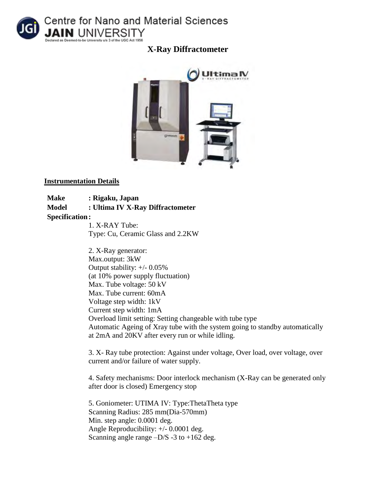

**X-Ray Diffractometer** 



## **Instrumentation Details**

**Make : Rigaku, Japan Model : Ultima IV X-Ray Diffractometer Specification:**

1. X-RAY Tube: Type: Cu, Ceramic Glass and 2.2KW

2. X-Ray generator: Max.output: 3kW Output stability: +/- 0.05% (at 10% power supply fluctuation) Max. Tube voltage: 50 kV Max. Tube current: 60mA Voltage step width: 1kV Current step width: 1mA Overload limit setting: Setting changeable with tube type Automatic Ageing of Xray tube with the system going to standby automatically at 2mA and 20KV after every run or while idling.

3. X- Ray tube protection: Against under voltage, Over load, over voltage, over current and/or failure of water supply.

4. Safety mechanisms: Door interlock mechanism (X-Ray can be generated only after door is closed) Emergency stop

5. Goniometer: UTIMA IV: Type:ThetaTheta type Scanning Radius: 285 mm(Dia-570mm) Min. step angle: 0.0001 deg. Angle Reproducibility: +/- 0.0001 deg. Scanning angle range  $-D/S -3$  to  $+162$  deg.